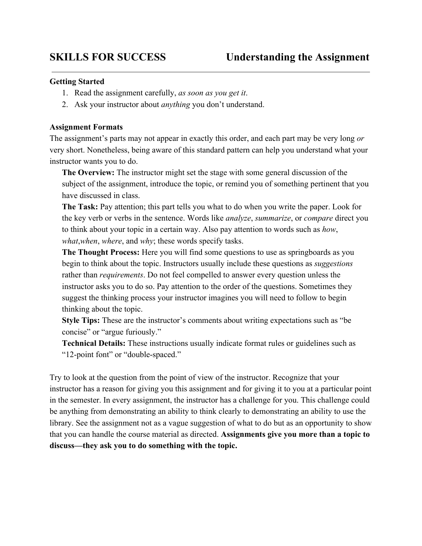## **Getting Started**

- 1. Read the assignment carefully, *as soon as you get it*.
- 2. Ask your instructor about *anything* you don't understand.

# **Assignment Formats**

The assignment's parts may not appear in exactly this order, and each part may be very long *or* very short. Nonetheless, being aware of this standard pattern can help you understand what your instructor wants you to do.

**The Overview:** The instructor might set the stage with some general discussion of the subject of the assignment, introduce the topic, or remind you of something pertinent that you have discussed in class.

**The Task:** Pay attention; this part tells you what to do when you write the paper. Look for the key verb or verbs in the sentence. Words like *analyze*, *summarize*, or *compare* direct you to think about your topic in a certain way. Also pay attention to words such as *how*, *what*,*when*, *where*, and *why*; these words specify tasks.

**The Thought Process:** Here you will find some questions to use as springboards as you begin to think about the topic. Instructors usually include these questions as *suggestions* rather than *requirements*. Do not feel compelled to answer every question unless the instructor asks you to do so. Pay attention to the order of the questions. Sometimes they suggest the thinking process your instructor imagines you will need to follow to begin thinking about the topic.

**Style Tips:** These are the instructor's comments about writing expectations such as "be concise" or "argue furiously."

**Technical Details:** These instructions usually indicate format rules or guidelines such as "12-point font" or "double-spaced."

Try to look at the question from the point of view of the instructor. Recognize that your instructor has a reason for giving you this assignment and for giving it to you at a particular point in the semester. In every assignment, the instructor has a challenge for you. This challenge could be anything from demonstrating an ability to think clearly to demonstrating an ability to use the library. See the assignment not as a vague suggestion of what to do but as an opportunity to show that you can handle the course material as directed. **Assignments give you more than a topic to discuss—they ask you to do something with the topic.**